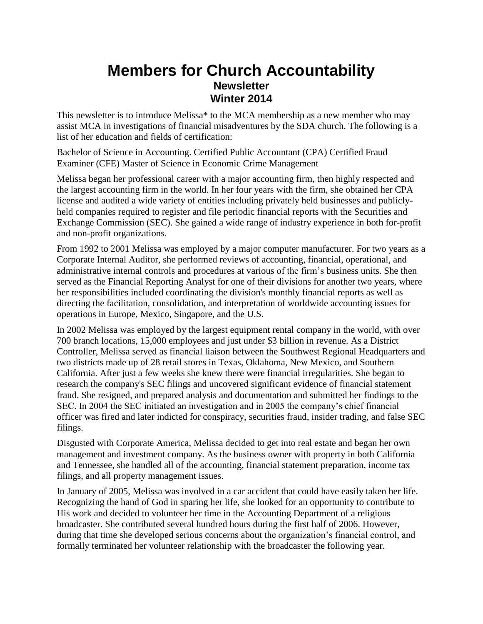## **Members for Church Accountability Newsletter Winter 2014**

This newsletter is to introduce Melissa\* to the MCA membership as a new member who may assist MCA in investigations of financial misadventures by the SDA church. The following is a list of her education and fields of certification:

Bachelor of Science in Accounting. Certified Public Accountant (CPA) Certified Fraud Examiner (CFE) Master of Science in Economic Crime Management

Melissa began her professional career with a major accounting firm, then highly respected and the largest accounting firm in the world. In her four years with the firm, she obtained her CPA license and audited a wide variety of entities including privately held businesses and publiclyheld companies required to register and file periodic financial reports with the Securities and Exchange Commission (SEC). She gained a wide range of industry experience in both for-profit and non-profit organizations.

From 1992 to 2001 Melissa was employed by a major computer manufacturer. For two years as a Corporate Internal Auditor, she performed reviews of accounting, financial, operational, and administrative internal controls and procedures at various of the firm's business units. She then served as the Financial Reporting Analyst for one of their divisions for another two years, where her responsibilities included coordinating the division's monthly financial reports as well as directing the facilitation, consolidation, and interpretation of worldwide accounting issues for operations in Europe, Mexico, Singapore, and the U.S.

In 2002 Melissa was employed by the largest equipment rental company in the world, with over 700 branch locations, 15,000 employees and just under \$3 billion in revenue. As a District Controller, Melissa served as financial liaison between the Southwest Regional Headquarters and two districts made up of 28 retail stores in Texas, Oklahoma, New Mexico, and Southern California. After just a few weeks she knew there were financial irregularities. She began to research the company's SEC filings and uncovered significant evidence of financial statement fraud. She resigned, and prepared analysis and documentation and submitted her findings to the SEC. In 2004 the SEC initiated an investigation and in 2005 the company's chief financial officer was fired and later indicted for conspiracy, securities fraud, insider trading, and false SEC filings.

Disgusted with Corporate America, Melissa decided to get into real estate and began her own management and investment company. As the business owner with property in both California and Tennessee, she handled all of the accounting, financial statement preparation, income tax filings, and all property management issues.

In January of 2005, Melissa was involved in a car accident that could have easily taken her life. Recognizing the hand of God in sparing her life, she looked for an opportunity to contribute to His work and decided to volunteer her time in the Accounting Department of a religious broadcaster. She contributed several hundred hours during the first half of 2006. However, during that time she developed serious concerns about the organization's financial control, and formally terminated her volunteer relationship with the broadcaster the following year.